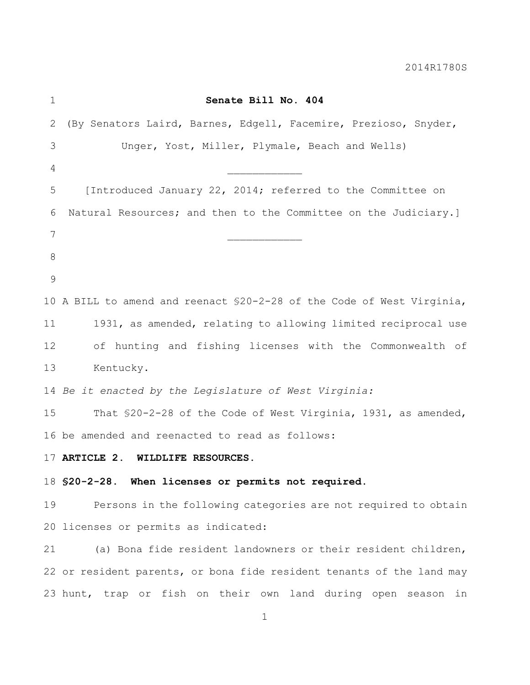| $\mathbf 1$ | Senate Bill No. 404                                                    |
|-------------|------------------------------------------------------------------------|
| 2           | (By Senators Laird, Barnes, Edgell, Facemire, Prezioso, Snyder,        |
| 3           | Unger, Yost, Miller, Plymale, Beach and Wells)                         |
| 4           |                                                                        |
| 5           | [Introduced January 22, 2014; referred to the Committee on             |
| 6           | Natural Resources; and then to the Committee on the Judiciary.]        |
| 7           |                                                                        |
| 8           |                                                                        |
| 9           |                                                                        |
|             | 10 A BILL to amend and reenact \$20-2-28 of the Code of West Virginia, |
| 11          | 1931, as amended, relating to allowing limited reciprocal use          |
| 12          | of hunting and fishing licenses with the Commonwealth of               |
| 13          | Kentucky.                                                              |
|             | 14 Be it enacted by the Legislature of West Virginia:                  |
| 15          | That \$20-2-28 of the Code of West Virginia, 1931, as amended,         |
|             | 16 be amended and reenacted to read as follows:                        |
| 17          | ARTICLE 2. WILDLIFE RESOURCES.                                         |
|             | 18 \$20-2-28. When licenses or permits not required.                   |
| 19          | Persons in the following categories are not required to obtain         |
|             | 20 licenses or permits as indicated:                                   |
| 21          | (a) Bona fide resident landowners or their resident children,          |
|             | 22 or resident parents, or bona fide resident tenants of the land may  |
|             |                                                                        |

## ermits not required.

Indowners or their resident children, ide resident tenants of the land may 23 hunt, trap or fish on their own land during open season in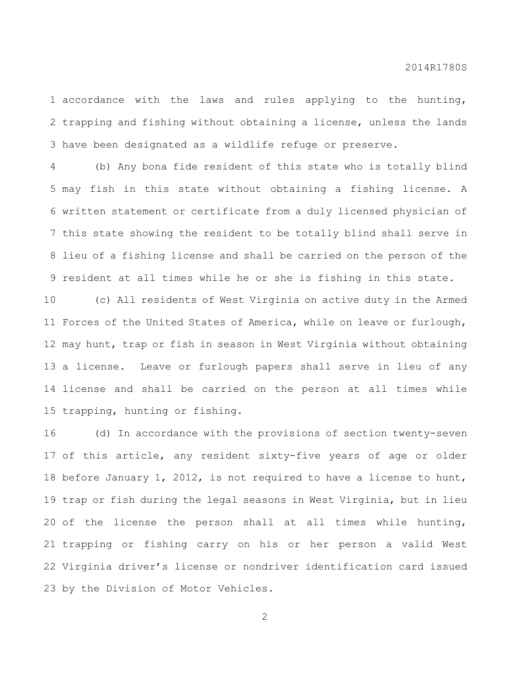accordance with the laws and rules applying to the hunting, trapping and fishing without obtaining a license, unless the lands have been designated as a wildlife refuge or preserve.

 (b) Any bona fide resident of this state who is totally blind may fish in this state without obtaining a fishing license. A written statement or certificate from a duly licensed physician of this state showing the resident to be totally blind shall serve in lieu of a fishing license and shall be carried on the person of the resident at all times while he or she is fishing in this state.

 (c) All residents of West Virginia on active duty in the Armed Forces of the United States of America, while on leave or furlough, may hunt, trap or fish in season in West Virginia without obtaining a license. Leave or furlough papers shall serve in lieu of any license and shall be carried on the person at all times while trapping, hunting or fishing.

 (d) In accordance with the provisions of section twenty-seven of this article, any resident sixty-five years of age or older before January 1, 2012, is not required to have a license to hunt, trap or fish during the legal seasons in West Virginia, but in lieu of the license the person shall at all times while hunting, trapping or fishing carry on his or her person a valid West Virginia driver's license or nondriver identification card issued by the Division of Motor Vehicles.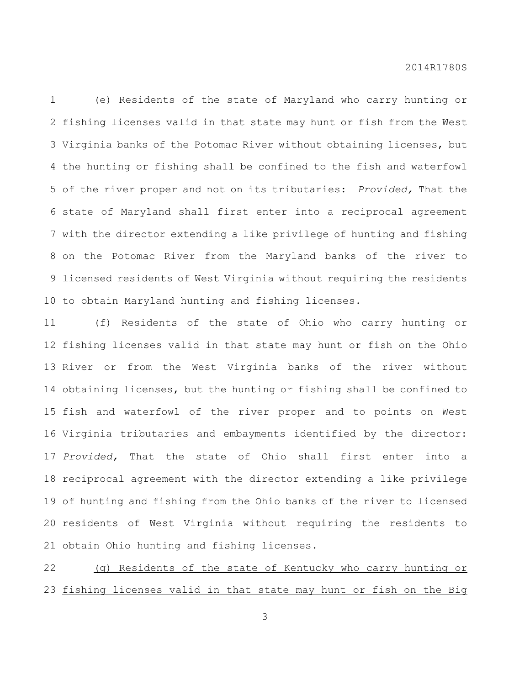(e) Residents of the state of Maryland who carry hunting or fishing licenses valid in that state may hunt or fish from the West Virginia banks of the Potomac River without obtaining licenses, but the hunting or fishing shall be confined to the fish and waterfowl of the river proper and not on its tributaries: *Provided,* That the state of Maryland shall first enter into a reciprocal agreement with the director extending a like privilege of hunting and fishing on the Potomac River from the Maryland banks of the river to licensed residents of West Virginia without requiring the residents to obtain Maryland hunting and fishing licenses.

 (f) Residents of the state of Ohio who carry hunting or fishing licenses valid in that state may hunt or fish on the Ohio River or from the West Virginia banks of the river without obtaining licenses, but the hunting or fishing shall be confined to fish and waterfowl of the river proper and to points on West Virginia tributaries and embayments identified by the director: *Provided,* That the state of Ohio shall first enter into a reciprocal agreement with the director extending a like privilege of hunting and fishing from the Ohio banks of the river to licensed residents of West Virginia without requiring the residents to obtain Ohio hunting and fishing licenses.

 (g) Residents of the state of Kentucky who carry hunting or fishing licenses valid in that state may hunt or fish on the Big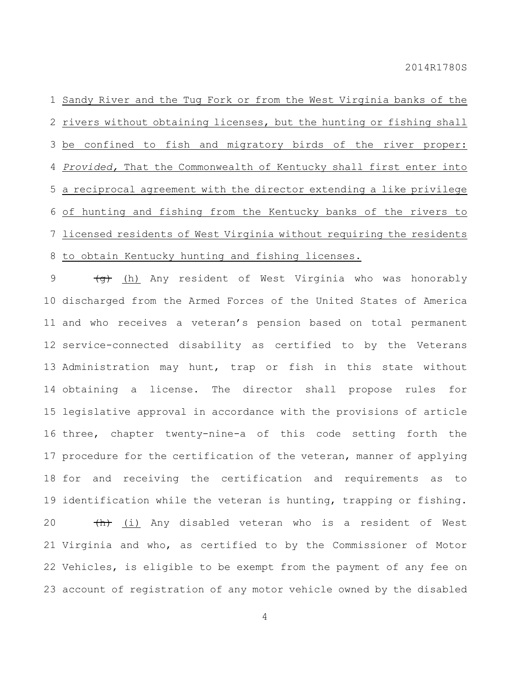Sandy River and the Tug Fork or from the West Virginia banks of the 2 rivers without obtaining licenses, but the hunting or fishing shall be confined to fish and migratory birds of the river proper: *Provided,* That the Commonwealth of Kentucky shall first enter into a reciprocal agreement with the director extending a like privilege of hunting and fishing from the Kentucky banks of the rivers to licensed residents of West Virginia without requiring the residents to obtain Kentucky hunting and fishing licenses.

9 (<del>g)</del> (h) Any resident of West Virginia who was honorably discharged from the Armed Forces of the United States of America and who receives a veteran's pension based on total permanent service-connected disability as certified to by the Veterans Administration may hunt, trap or fish in this state without obtaining a license. The director shall propose rules for legislative approval in accordance with the provisions of article three, chapter twenty-nine-a of this code setting forth the procedure for the certification of the veteran, manner of applying for and receiving the certification and requirements as to identification while the veteran is hunting, trapping or fishing. 20 (h) (i) Any disabled veteran who is a resident of West Virginia and who, as certified to by the Commissioner of Motor Vehicles, is eligible to be exempt from the payment of any fee on account of registration of any motor vehicle owned by the disabled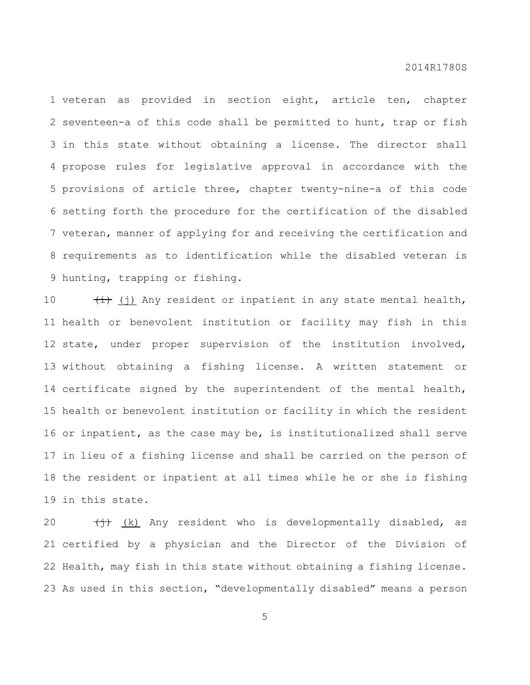veteran as provided in section eight, article ten, chapter seventeen-a of this code shall be permitted to hunt, trap or fish in this state without obtaining a license. The director shall propose rules for legislative approval in accordance with the provisions of article three, chapter twenty-nine-a of this code setting forth the procedure for the certification of the disabled veteran, manner of applying for and receiving the certification and requirements as to identification while the disabled veteran is hunting, trapping or fishing.

 $(\pm)$  (j) Any resident or inpatient in any state mental health, health or benevolent institution or facility may fish in this state, under proper supervision of the institution involved, without obtaining a fishing license. A written statement or certificate signed by the superintendent of the mental health, health or benevolent institution or facility in which the resident or inpatient, as the case may be, is institutionalized shall serve in lieu of a fishing license and shall be carried on the person of the resident or inpatient at all times while he or she is fishing in this state.

 $\leftarrow$   $\leftarrow$  (k) Any resident who is developmentally disabled, as certified by a physician and the Director of the Division of Health, may fish in this state without obtaining a fishing license. As used in this section, "developmentally disabled" means a person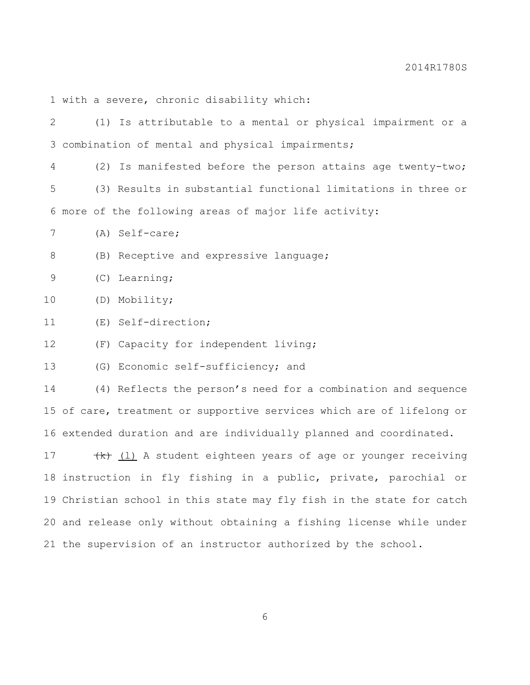with a severe, chronic disability which:

 (1) Is attributable to a mental or physical impairment or a combination of mental and physical impairments; (2) Is manifested before the person attains age twenty-two; (3) Results in substantial functional limitations in three or more of the following areas of major life activity: (A) Self-care; (B) Receptive and expressive language; (C) Learning; (D) Mobility; (E) Self-direction; (F) Capacity for independent living; (G) Economic self-sufficiency; and (4) Reflects the person's need for a combination and sequence of care, treatment or supportive services which are of lifelong or extended duration and are individually planned and coordinated.  $\left(\frac{k}{k}\right)$  (1) A student eighteen years of age or younger receiving instruction in fly fishing in a public, private, parochial or Christian school in this state may fly fish in the state for catch and release only without obtaining a fishing license while under the supervision of an instructor authorized by the school.